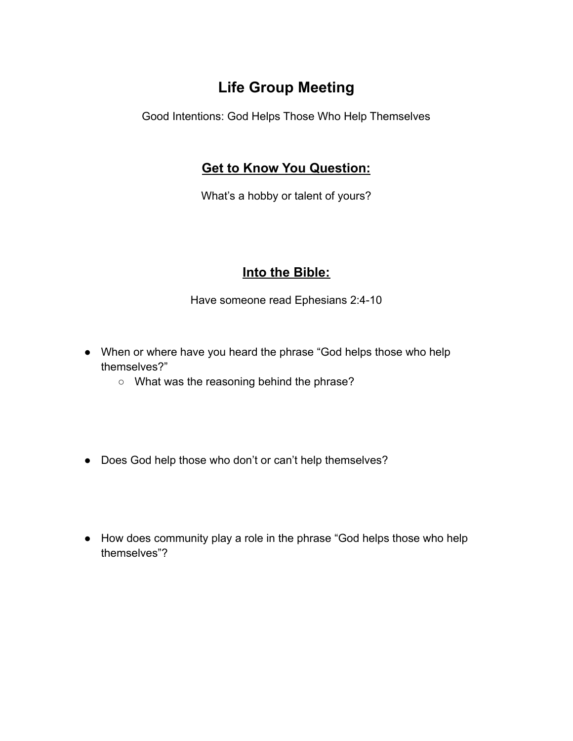## **Life Group Meeting**

Good Intentions: God Helps Those Who Help Themselves

## **Get to Know You Question:**

What's a hobby or talent of yours?

## **Into the Bible:**

Have someone read Ephesians 2:4-10

- When or where have you heard the phrase "God helps those who help themselves?"
	- What was the reasoning behind the phrase?
- Does God help those who don't or can't help themselves?
- How does community play a role in the phrase "God helps those who help themselves"?